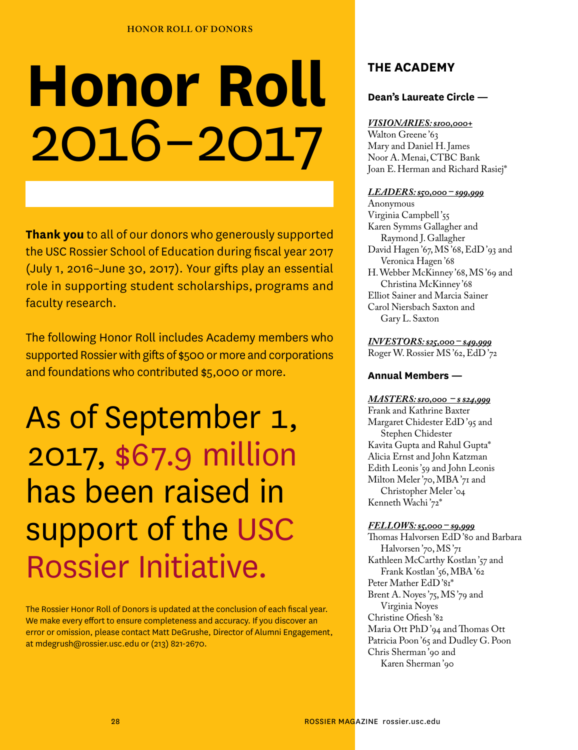# **Honor Roll** 2016–2017

**Thank you** to all of our donors who generously supported the USC Rossier School of Education during fiscal year 2017 (July 1, 2016–June 30, 2017). Your gifts play an essential role in supporting student scholarships, programs and faculty research.

The following Honor Roll includes Academy members who supported Rossier with gifts of \$500 or more and corporations and foundations who contributed \$5,000 or more.

As of September 1, 2017, \$67.9 million has been raised in support of the USC Rossier Initiative.

The Rossier Honor Roll of Donors is updated at the conclusion of each fiscal year. We make every effort to ensure completeness and accuracy. If you discover an error or omission, please contact Matt DeGrushe, Director of Alumni Engagement, at mdegrush@rossier.usc.edu or (213) 821-2670.

# **THE ACADEMY**

## **Dean's Laureate Circle —**

### *VISIONARIES: \$100,000+*

Walton Greene'63 Mary and Daniel H. James Noor A. Menai, CTBC Bank Joan E. Herman and Richard Rasiej\*

#### *LEADERS: \$50,000 – \$99,999*

Anonymous Virginia Campbell '55 Karen Symms Gallagher and Raymond J. Gallagher David Hagen '67, MS '68, EdD '93 and Veronica Hagen '68 H. Webber McKinney '68, MS '69 and Christina McKinney '68 Elliot Sainer and Marcia Sainer Carol Niersbach Saxton and Gary L. Saxton

*INVESTORS: \$25,000 – \$49,999* Roger W. Rossier MS '62, EdD '72

### **Annual Members —**

#### *MASTERS: \$10,000 – \$ \$24,999*

Frank and Kathrine Baxter Margaret Chidester EdD '95 and Stephen Chidester Kavita Gupta and Rahul Gupta\* Alicia Ernst and John Katzman Edith Leonis '59 and John Leonis Milton Meler '70, MBA '71 and Christopher Meler '04 Kenneth Wachi '72\*

#### *FELLOWS: \$5,000 – \$9,999*

Thomas Halvorsen EdD '80 and Barbara Halvorsen '70, MS '71 Kathleen McCarthy Kostlan '57 and Frank Kostlan '56, MBA '62 Peter Mather EdD '81\* Brent A. Noyes '75, MS '79 and Virginia Noyes Christine Ofiesh '82 Maria Ott PhD '94 and Thomas Ott Patricia Poon '65 and Dudley G. Poon Chris Sherman '90 and Karen Sherman '90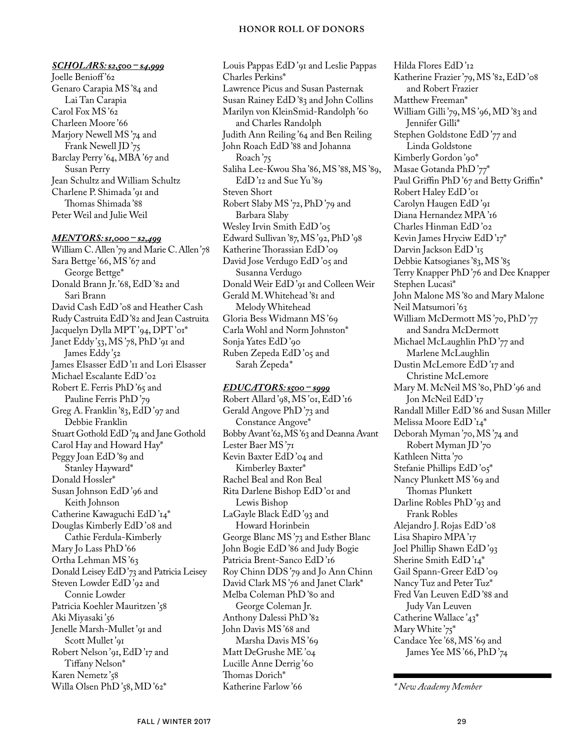#### **HONOR ROLL OF DONORS**

#### *SCHOLARS: \$2,500 – \$4,999*

Joelle Benioff'62 Genaro Carapia MS '84 and Lai Tan Carapia Carol Fox MS '62 Charleen Moore '66 Marjory Newell MS '74 and Frank Newell JD '75 Barclay Perry '64, MBA '67 and Susan Perry Jean Schultz and William Schultz Charlene P. Shimada '91 and Thomas Shimada '88 Peter Weil and Julie Weil

#### *MENTORS: \$1,000 – \$2,499*

William C. Allen '79 and Marie C. Allen '78 Sara Bettge '66, MS '67 and George Bettge\* Donald Brann Jr. '68, EdD '82 and Sari Brann David Cash EdD '08 and Heather Cash Rudy Castruita EdD '82 and Jean Castruita Jacquelyn Dylla MPT'94, DPT'or\* Janet Eddy'53, MS'78, PhD'91 and James Eddy'52 James Elsasser EdD'<sub>II</sub> and Lori Elsasser Michael Escalante EdD '02 Robert E. Ferris PhD '65 and Pauline Ferris PhD '79 Greg A. Franklin '83, EdD '97 and Debbie Franklin Stuart Gothold EdD '74 and Jane Gothold Carol Hay and Howard Hay\* Peggy Joan EdD '89 and Stanley Hayward\* Donald Hossler\* Susan Johnson EdD '96 and Keith Johnson Catherine Kawaguchi EdD '14\* Douglas Kimberly EdD '08 and Cathie Ferdula-Kimberly Mary Jo Lass PhD '66 Ortha Lehman MS '63 Donald Leisey EdD '73 and Patricia Leisey Steven Lowder EdD '92 and Connie Lowder Patricia Koehler Mauritzen'58 Aki Miyasaki '56 Jenelle Marsh-Mullet '91 and Scott Mullet '91 Robert Nelson '91, EdD '17 and Tiffany Nelson\* Karen Nemetz '58 Willa Olsen PhD '58, MD '62\*

Louis Pappas EdD '91 and Leslie Pappas Charles Perkins\* Lawrence Picus and Susan Pasternak Susan Rainey EdD '83 and John Collins Marilyn von KleinSmid-Randolph '60 and Charles Randolph Judith Ann Reiling '64 and Ben Reiling John Roach EdD '88 and Johanna Roach '75 Saliha Lee-Kwou Sha '86, MS '88, MS '89, EdD '12 and Sue Yu '89 Steven Short Robert Slaby MS '72, PhD '79 and Barbara Slaby Wesley Irvin Smith EdD '05 Edward Sullivan '87, MS '92, PhD '98 Katherine Thorassian EdD '09 David Jose Verdugo EdD'05 and Susanna Verdugo Donald Weir EdD '91 and Colleen Weir Gerald M. Whitehead '81 and Melody Whitehead Gloria Bess Widmann MS '69 Carla Wohl and Norm Johnston\* Sonja Yates EdD '90 Ruben Zepeda EdD '05 and Sarah Zepeda\*

#### *EDUCATORS: \$500 – \$999*

Robert Allard '98, MS '01, EdD '16 Gerald Angove PhD '73 and Constance Angove\* Bobby Avant '62, MS '63 and Deanna Avant Lester Baer MS '71 Kevin Baxter EdD '04 and Kimberley Baxter\* Rachel Beal and Ron Beal Rita Darlene Bishop EdD '01 and Lewis Bishop LaGayle Black EdD '93 and Howard Horinbein George Blanc MS '73 and Esther Blanc John Bogie EdD '86 and Judy Bogie Patricia Brent-Sanco EdD '16 Roy Chinn DDS '79 and Jo Ann Chinn David Clark MS '76 and Janet Clark\* Melba Coleman PhD '80 and George Coleman Jr. Anthony Dalessi PhD '82 John Davis MS '68 and Marsha Davis MS '69 Matt DeGrushe ME '04 Lucille Anne Derrig '60 Thomas Dorich\* Katherine Farlow '66

Hilda Flores EdD '12 Katherine Frazier '79, MS '82, EdD '08 and Robert Frazier Matthew Freeman\* William Gilli '79, MS '96, MD '83 and Jennifer Gilli\* Stephen Goldstone EdD '77 and Linda Goldstone Kimberly Gordon '90\* Masae Gotanda PhD '77\* Paul Griffin PhD '67 and Betty Griffin\* Robert Haley EdD '01 Carolyn Haugen EdD '91 Diana Hernandez MPA '16 Charles Hinman EdD '02 Kevin James Hryciw EdD '17\* Darvin Jackson EdD '15 Debbie Katsogianes '83, MS '85 Terry Knapper PhD '76 and Dee Knapper Stephen Lucasi\* John Malone MS '80 and Mary Malone Neil Matsumori '63 William McDermott MS '70, PhD '77 and Sandra McDermott Michael McLaughlin PhD '77 and Marlene McLaughlin Dustin McLemore EdD '17 and Christine McLemore Mary M. McNeil MS '80, PhD '96 and Jon McNeil EdD'17 Randall Miller EdD '86 and Susan Miller Melissa Moore EdD '14\* Deborah Myman '70, MS '74 and Robert Myman JD '70 Kathleen Nitta '70 Stefanie Phillips EdD '05\* Nancy Plunkett MS '69 and Thomas Plunkett Darline Robles PhD '93 and Frank Robles Alejandro J. Rojas EdD '08 Lisa Shapiro MPA '17 Joel Phillip Shawn EdD '93 Sherine Smith EdD'14\* Gail Spann-Greer EdD '09 Nancy Tuz and Peter Tuz\* Fred Van Leuven EdD '88 and Judy Van Leuven Catherine Wallace '43\* Mary White '75\* Candace Yee '68, MS '69 and James Yee MS '66, PhD '74

*<sup>\*</sup> New Academy Member*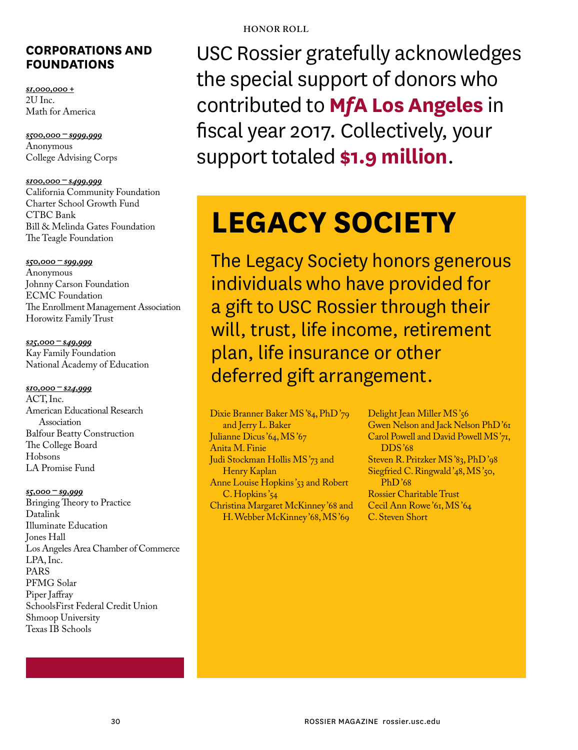# **CORPORATIONS AND FOUNDATIONS**

*\$1,000,000 +* 2U Inc. Math for America

*\$500,000 – \$999,999* Anonymous College Advising Corps

*\$100,000 – \$499,999* California Community Foundation Charter School Growth Fund CTBC Bank Bill & Melinda Gates Foundation The Teagle Foundation

*\$50,000 – \$99,999* Anonymous Johnny Carson Foundation ECMC Foundation The Enrollment Management Association Horowitz Family Trust

*\$25,000 – \$49,999* Kay Family Foundation National Academy of Education

*\$10,000 – \$24,999* ACT, Inc. American Educational Research Association Balfour Beatty Construction The College Board Hobsons LA Promise Fund

*\$5,000 – \$9,999* Bringing Theory to Practice Datalink Illuminate Education Jones Hall Los Angeles Area Chamber of Commerce LPA, Inc. PARS PFMG Solar Piper Jaffray SchoolsFirst Federal Credit Union Shmoop University Texas IB Schools

USC Rossier gratefully acknowledges the special support of donors who contributed to **M***f***A Los Angeles** in fiscal year 2017. Collectively, your support totaled **\$1.9 million**.

# **LEGACY SOCIETY**

The Legacy Society honors generous individuals who have provided for a gift to USC Rossier through their will, trust, life income, retirement plan, life insurance or other deferred gift arrangement.

Dixie Branner Baker MS '84, PhD '79 and Jerry L. Baker Julianne Dicus '64, MS '67 Anita M. Finie Judi Stockman Hollis MS '73 and Henry Kaplan Anne Louise Hopkins'53 and Robert C. Hopkins'54 Christina Margaret McKinney '68 and H. Webber McKinney '68, MS '69

Delight Jean Miller MS'56 Gwen Nelson and Jack Nelson PhD '61 Carol Powell and David Powell MS '71, DDS '68 Steven R. Pritzker MS '83, PhD '98 Siegfried C. Ringwald'48, MS'50, PhD '68 Rossier Charitable Trust Cecil Ann Rowe '61, MS '64 C. Steven Short